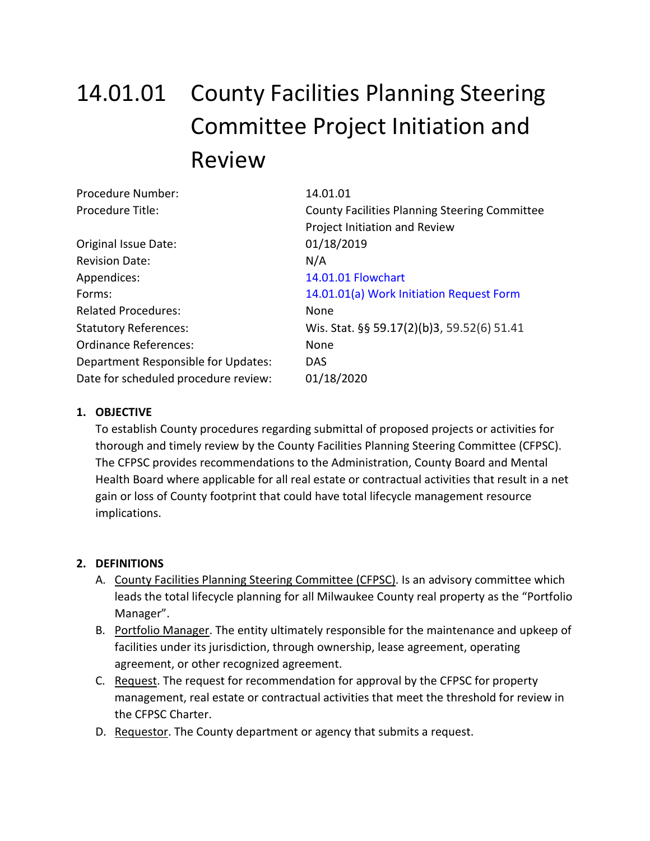# 14.01.01 County Facilities Planning Steering Committee Project Initiation and Review

| Procedure Number:                    | 14.01.01                                             |
|--------------------------------------|------------------------------------------------------|
| Procedure Title:                     | <b>County Facilities Planning Steering Committee</b> |
|                                      | Project Initiation and Review                        |
| Original Issue Date:                 | 01/18/2019                                           |
| <b>Revision Date:</b>                | N/A                                                  |
| Appendices:                          | 14.01.01 Flowchart                                   |
| Forms:                               | 14.01.01(a) Work Initiation Request Form             |
| <b>Related Procedures:</b>           | None                                                 |
| <b>Statutory References:</b>         | Wis. Stat. §§ 59.17(2)(b)3, 59.52(6) 51.41           |
| <b>Ordinance References:</b>         | None                                                 |
| Department Responsible for Updates:  | <b>DAS</b>                                           |
| Date for scheduled procedure review: | 01/18/2020                                           |
|                                      |                                                      |

#### **1. OBJECTIVE**

To establish County procedures regarding submittal of proposed projects or activities for thorough and timely review by the County Facilities Planning Steering Committee (CFPSC). The CFPSC provides recommendations to the Administration, County Board and Mental Health Board where applicable for all real estate or contractual activities that result in a net gain or loss of County footprint that could have total lifecycle management resource implications.

#### **2. DEFINITIONS**

- A. County Facilities Planning Steering Committee (CFPSC). Is an advisory committee which leads the total lifecycle planning for all Milwaukee County real property as the "Portfolio Manager".
- B. Portfolio Manager. The entity ultimately responsible for the maintenance and upkeep of facilities under its jurisdiction, through ownership, lease agreement, operating agreement, or other recognized agreement.
- C. Request. The request for recommendation for approval by the CFPSC for property management, real estate or contractual activities that meet the threshold for review in the CFPSC Charter.
- D. Requestor. The County department or agency that submits a request.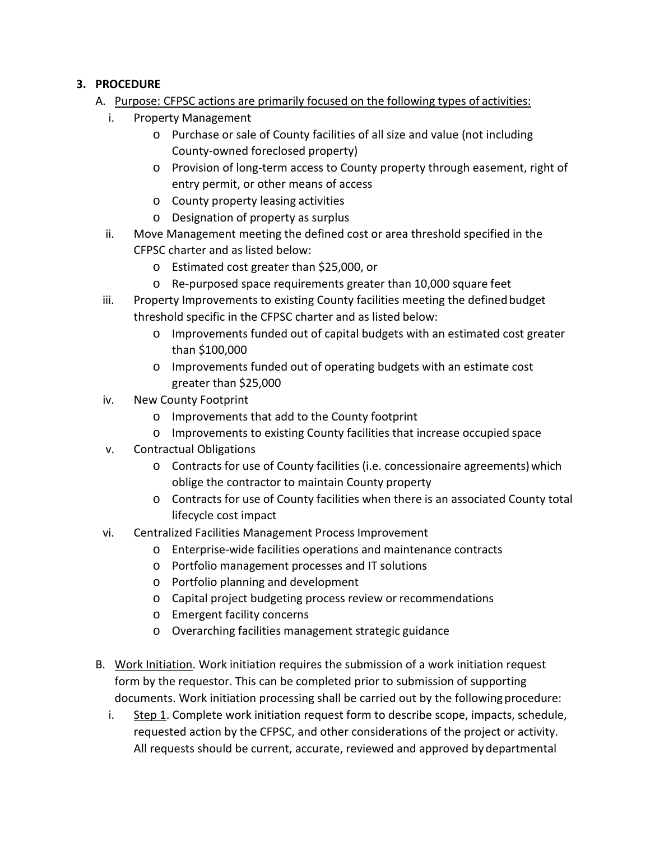### **3. PROCEDURE**

- A. Purpose: CFPSC actions are primarily focused on the following types of activities:
	- i. Property Management
		- o Purchase or sale of County facilities of all size and value (not including County-owned foreclosed property)
		- o Provision of long-term access to County property through easement, right of entry permit, or other means of access
		- o County property leasing activities
		- o Designation of property as surplus
	- ii. Move Management meeting the defined cost or area threshold specified in the CFPSC charter and as listed below:
		- o Estimated cost greater than \$25,000, or
		- o Re-purposed space requirements greater than 10,000 square feet
	- iii. Property Improvements to existing County facilities meeting the definedbudget threshold specific in the CFPSC charter and as listed below:
		- o Improvements funded out of capital budgets with an estimated cost greater than \$100,000
		- o Improvements funded out of operating budgets with an estimate cost greater than \$25,000
	- iv. New County Footprint
		- o Improvements that add to the County footprint
		- o Improvements to existing County facilities that increase occupied space
	- v. Contractual Obligations
		- $\circ$  Contracts for use of County facilities (i.e. concessionaire agreements) which oblige the contractor to maintain County property
		- o Contracts for use of County facilities when there is an associated County total lifecycle cost impact
	- vi. Centralized Facilities Management Process Improvement
		- o Enterprise-wide facilities operations and maintenance contracts
		- o Portfolio management processes and IT solutions
		- o Portfolio planning and development
		- o Capital project budgeting process review or recommendations
		- o Emergent facility concerns
		- o Overarching facilities management strategic guidance
- B. Work Initiation. Work initiation requires the submission of a work initiation request form by the requestor. This can be completed prior to submission of supporting documents. Work initiation processing shall be carried out by the followingprocedure:
	- i. Step 1. Complete work initiation request form to describe scope, impacts, schedule, requested action by the CFPSC, and other considerations of the project or activity. All requests should be current, accurate, reviewed and approved bydepartmental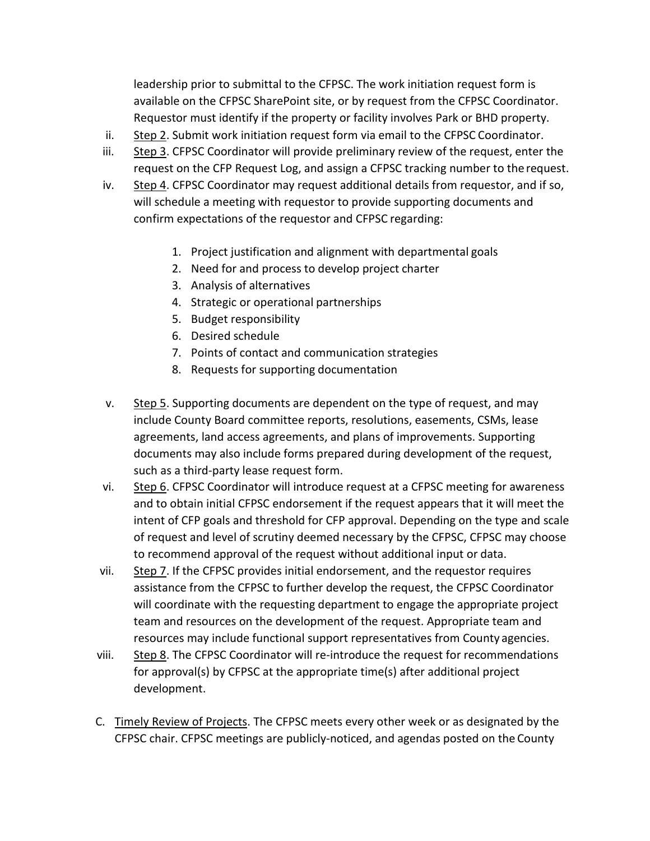leadership prior to submittal to the CFPSC. The work initiation request form is available on the CFPSC SharePoint site, or by request from the CFPSC Coordinator. Requestor must identify if the property or facility involves Park or BHD property.

- ii. Step 2. Submit work initiation request form via email to the CFPSC Coordinator.
- iii. Step 3. CFPSC Coordinator will provide preliminary review of the request, enter the request on the CFP Request Log, and assign a CFPSC tracking number to the request.
- iv. Step 4. CFPSC Coordinator may request additional details from requestor, and if so, will schedule a meeting with requestor to provide supporting documents and confirm expectations of the requestor and CFPSC regarding:
	- 1. Project justification and alignment with departmental goals
	- 2. Need for and process to develop project charter
	- 3. Analysis of alternatives
	- 4. Strategic or operational partnerships
	- 5. Budget responsibility
	- 6. Desired schedule
	- 7. Points of contact and communication strategies
	- 8. Requests for supporting documentation
- v. Step 5. Supporting documents are dependent on the type of request, and may include County Board committee reports, resolutions, easements, CSMs, lease agreements, land access agreements, and plans of improvements. Supporting documents may also include forms prepared during development of the request, such as a third-party lease request form.
- vi. Step 6. CFPSC Coordinator will introduce request at a CFPSC meeting for awareness and to obtain initial CFPSC endorsement if the request appears that it will meet the intent of CFP goals and threshold for CFP approval. Depending on the type and scale of request and level of scrutiny deemed necessary by the CFPSC, CFPSC may choose to recommend approval of the request without additional input or data.
- vii. Step  $\overline{z}$ . If the CFPSC provides initial endorsement, and the requestor requires assistance from the CFPSC to further develop the request, the CFPSC Coordinator will coordinate with the requesting department to engage the appropriate project team and resources on the development of the request. Appropriate team and resources may include functional support representatives from County agencies.
- viii. Step 8. The CFPSC Coordinator will re-introduce the request for recommendations for approval(s) by CFPSC at the appropriate time(s) after additional project development.
- C. Timely Review of Projects. The CFPSC meets every other week or as designated by the CFPSC chair. CFPSC meetings are publicly-noticed, and agendas posted on the County